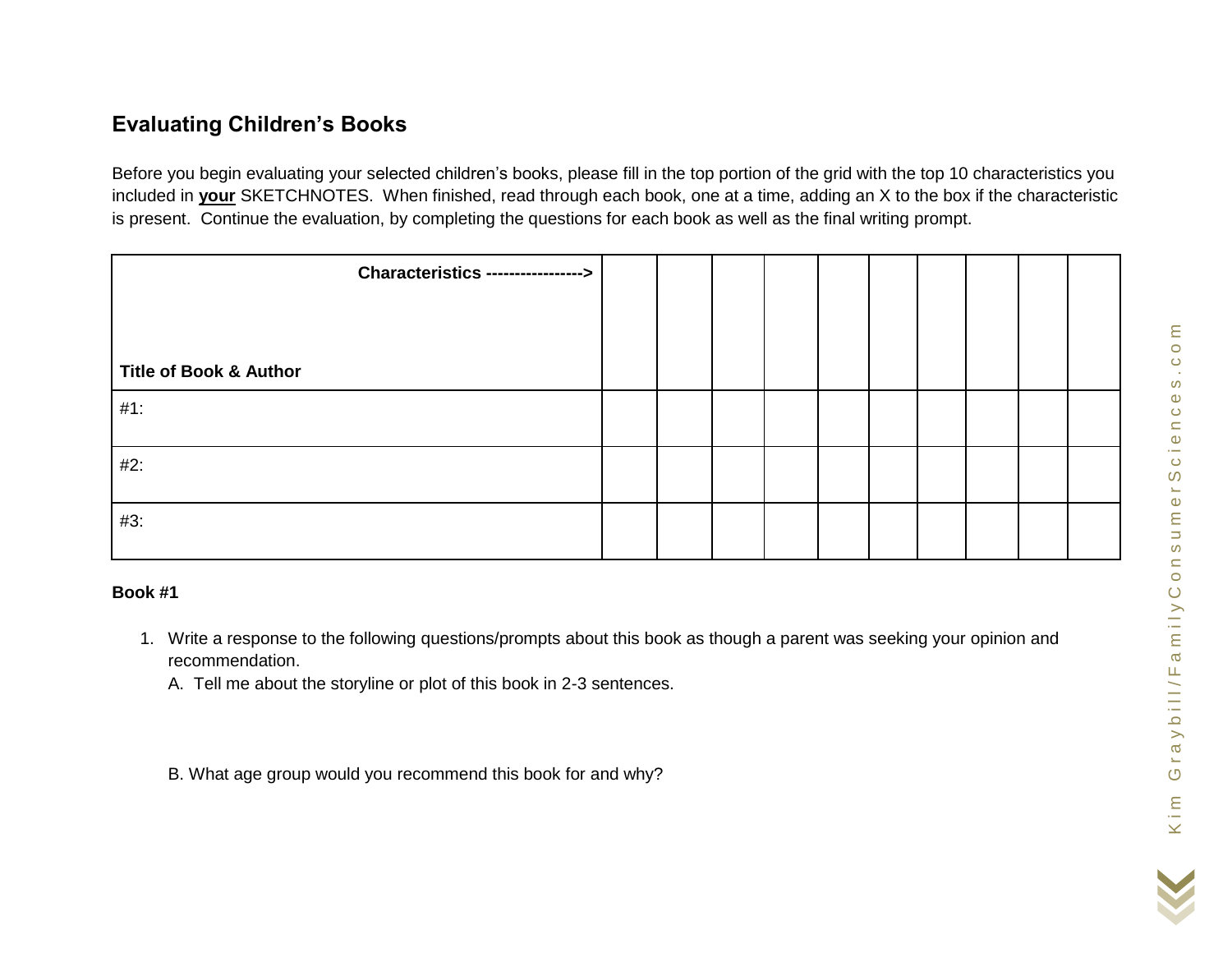## **Evaluating Children's Books**

Before you begin evaluating your selected children's books, please fill in the top portion of the grid with the top 10 characteristics you included in **your** SKETCHNOTES. When finished, read through each book, one at a time, adding an X to the box if the characteristic is present. Continue the evaluation, by completing the questions for each book as well as the final writing prompt.

| <b>Characteristics ----------------&gt;</b> |  |  |  |  |  |
|---------------------------------------------|--|--|--|--|--|
|                                             |  |  |  |  |  |
|                                             |  |  |  |  |  |
| <b>Title of Book &amp; Author</b>           |  |  |  |  |  |
| $#1$ :                                      |  |  |  |  |  |
|                                             |  |  |  |  |  |
| $#2$ :                                      |  |  |  |  |  |
|                                             |  |  |  |  |  |
| #3:                                         |  |  |  |  |  |
|                                             |  |  |  |  |  |

## **Book #1**

- 1. Write a response to the following questions/prompts about this book as though a parent was seeking your opinion and recommendation.
	- A. Tell me about the storyline or plot of this book in 2-3 sentences.
	- B. What age group would you recommend this book for and why?

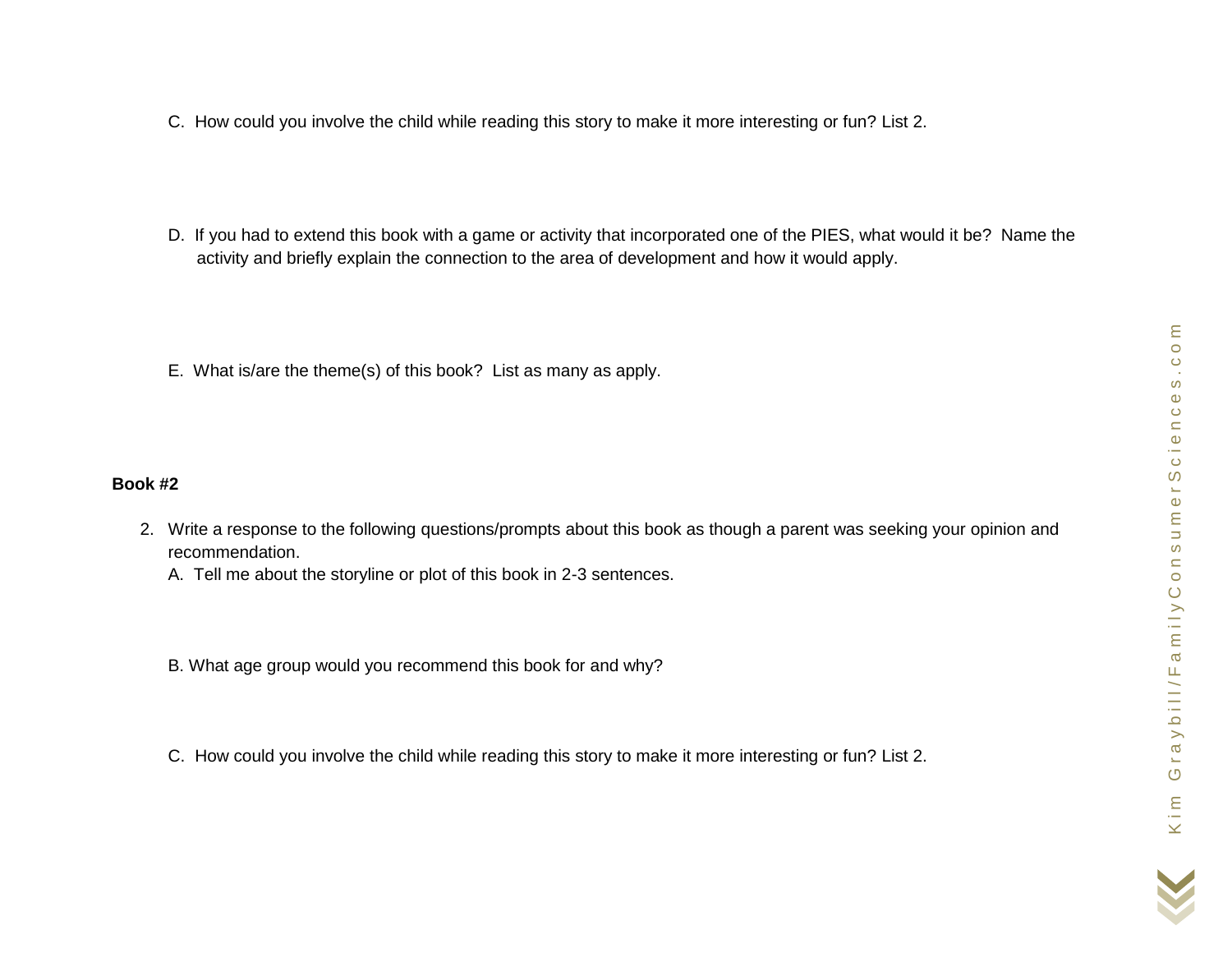- C. How could you involve the child while reading this story to make it more interesting or fun? List 2.
- D. If you had to extend this book with a game or activity that incorporated one of the PIES, what would it be? Name the activity and briefly explain the connection to the area of development and how it would apply.
- E. What is/are the theme(s) of this book? List as many as apply.

## **Book #2**

- 2. Write a response to the following questions/prompts about this book as though a parent was seeking your opinion and recommendation.
	- A. Tell me about the storyline or plot of this book in 2-3 sentences.
	- B. What age group would you recommend this book for and why?
	- C. How could you involve the child while reading this story to make it more interesting or fun? List 2.

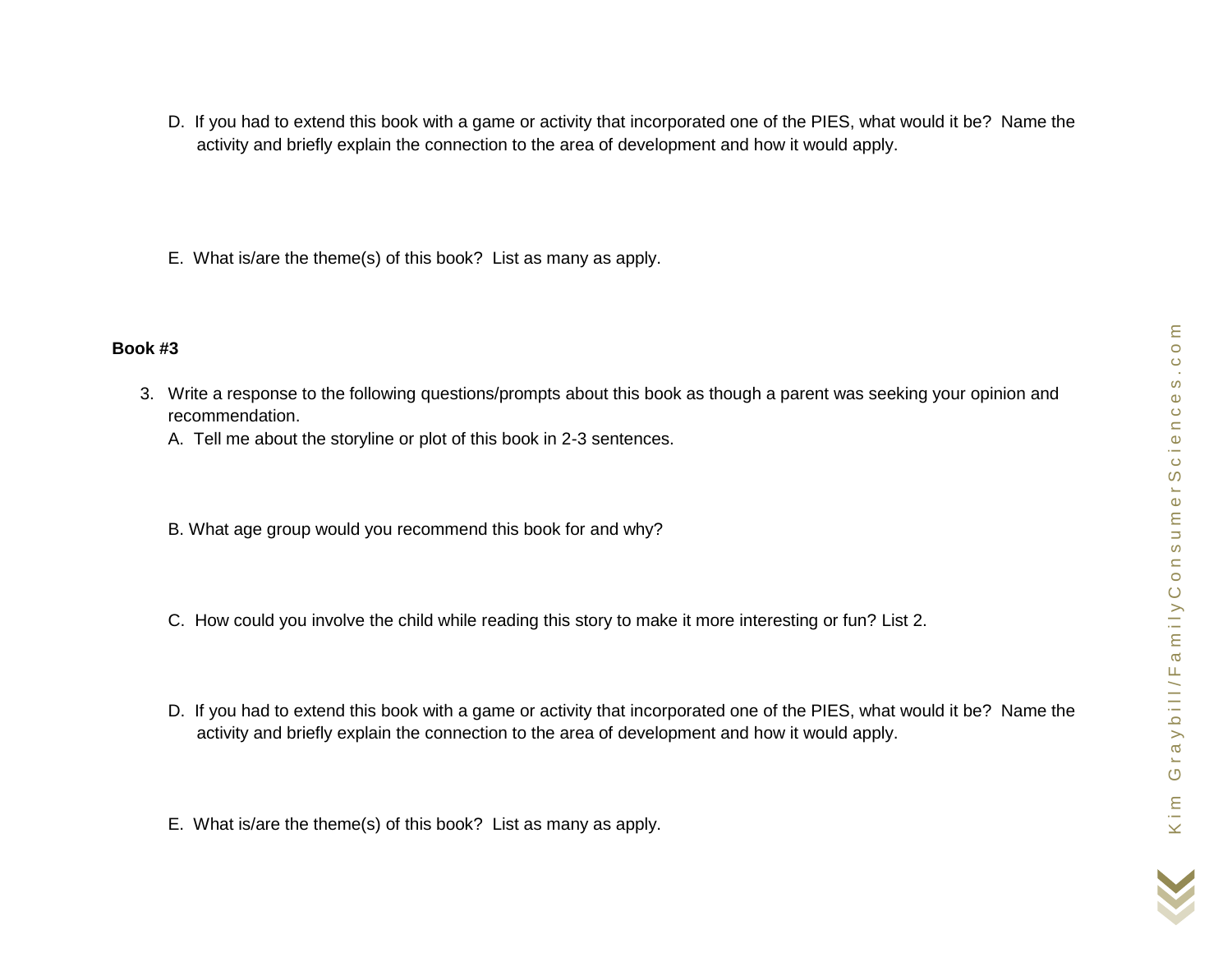- D. If you had to extend this book with a game or activity that incorporated one of the PIES, what would it be? Name the activity and briefly explain the connection to the area of development and how it would apply.
- E. What is/are the theme(s) of this book? List as many as apply.

## **Book #3**

- 3. Write a response to the following questions/prompts about this book as though a parent was seeking your opinion and recommendation.
	- A. Tell me about the storyline or plot of this book in 2-3 sentences.
	- B. What age group would you recommend this book for and why?
	- C. How could you involve the child while reading this story to make it more interesting or fun? List 2.
	- D. If you had to extend this book with a game or activity that incorporated one of the PIES, what would it be? Name the activity and briefly explain the connection to the area of development and how it would apply.
	- E. What is/are the theme(s) of this book? List as many as apply.